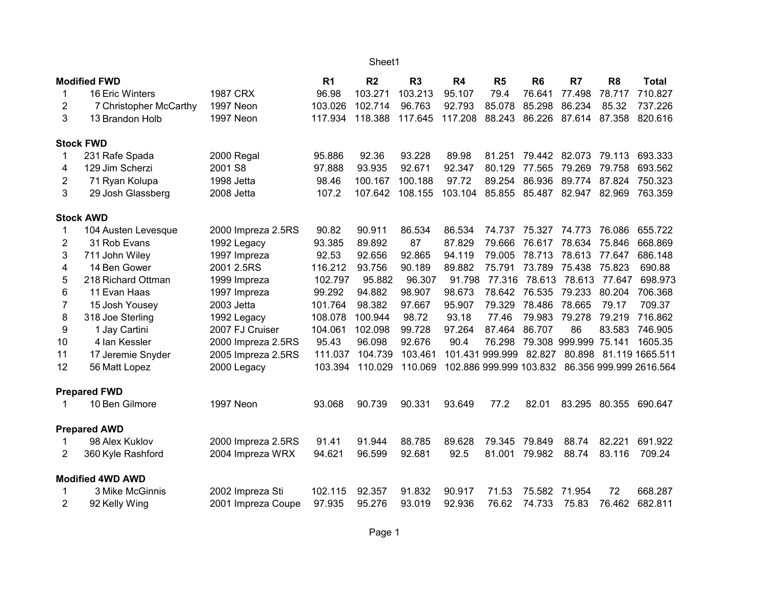## Sheet1

| <b>Modified FWD</b> |                         | R <sub>1</sub>     | R <sub>2</sub> | R3      | R <sub>4</sub> | R <sub>5</sub> | R <sub>6</sub>  | R <sub>7</sub> | R <sub>8</sub>        | <b>Total</b> |                                                 |
|---------------------|-------------------------|--------------------|----------------|---------|----------------|----------------|-----------------|----------------|-----------------------|--------------|-------------------------------------------------|
| 1                   | 16 Eric Winters         | <b>1987 CRX</b>    | 96.98          | 103.271 | 103.213        | 95.107         | 79.4            | 76.641         | 77.498                | 78.717       | 710.827                                         |
| 2                   | 7 Christopher McCarthy  | 1997 Neon          | 103.026        | 102.714 | 96.763         | 92.793         | 85.078          | 85.298         | 86.234                | 85.32        | 737.226                                         |
| 3                   | 13 Brandon Holb         | 1997 Neon          | 117.934        | 118.388 | 117.645        | 117.208        | 88.243          | 86.226         | 87.614                | 87.358       | 820.616                                         |
|                     | <b>Stock FWD</b>        |                    |                |         |                |                |                 |                |                       |              |                                                 |
| 1                   | 231 Rafe Spada          | 2000 Regal         | 95.886         | 92.36   | 93.228         | 89.98          | 81.251          | 79.442         | 82.073                | 79.113       | 693.333                                         |
| 4                   | 129 Jim Scherzi         | 2001 S8            | 97.888         | 93.935  | 92.671         | 92.347         | 80.129          | 77.565         | 79.269                | 79.758       | 693.562                                         |
| 2                   | 71 Ryan Kolupa          | 1998 Jetta         | 98.46          | 100.167 | 100.188        | 97.72          | 89.254          | 86.936         | 89.774                | 87.824       | 750.323                                         |
| 3                   | 29 Josh Glassberg       | 2008 Jetta         | 107.2          | 107.642 | 108.155        | 103.104        | 85.855          | 85.487         | 82.947                | 82.969       | 763.359                                         |
|                     | <b>Stock AWD</b>        |                    |                |         |                |                |                 |                |                       |              |                                                 |
| 1                   | 104 Austen Levesque     | 2000 Impreza 2.5RS | 90.82          | 90.911  | 86.534         | 86.534         | 74.737          | 75.327         | 74.773                | 76.086       | 655.722                                         |
| 2                   | 31 Rob Evans            | 1992 Legacy        | 93.385         | 89.892  | 87             | 87.829         | 79.666          | 76.617         | 78.634                | 75.846       | 668.869                                         |
| 3                   | 711 John Wiley          | 1997 Impreza       | 92.53          | 92.656  | 92.865         | 94.119         | 79.005          | 78.713         | 78.613                | 77.647       | 686.148                                         |
| 4                   | 14 Ben Gower            | 2001 2.5RS         | 116.212        | 93.756  | 90.189         | 89.882         | 75.791          | 73.789         | 75.438                | 75.823       | 690.88                                          |
| 5                   | 218 Richard Ottman      | 1999 Impreza       | 102.797        | 95.882  | 96.307         | 91.798         |                 |                | 77.316 78.613 78.613  | 77.647       | 698.973                                         |
| 6                   | 11 Evan Haas            | 1997 Impreza       | 99.292         | 94.882  | 98.907         | 98.673         | 78.642          | 76.535         | 79.233                | 80.204       | 706.368                                         |
| 7                   | 15 Josh Yousey          | 2003 Jetta         | 101.764        | 98.382  | 97.667         | 95.907         | 79.329          | 78.486         | 78.665                | 79.17        | 709.37                                          |
| 8                   | 318 Joe Sterling        | 1992 Legacy        | 108.078        | 100.944 | 98.72          | 93.18          | 77.46           | 79.983         | 79.278                | 79.219       | 716.862                                         |
| 9                   | 1 Jay Cartini           | 2007 FJ Cruiser    | 104.061        | 102.098 | 99.728         | 97.264         | 87.464          | 86.707         | 86                    | 83.583       | 746.905                                         |
| 10                  | 4 Ian Kessler           | 2000 Impreza 2.5RS | 95.43          | 96.098  | 92.676         | 90.4           | 76.298          |                | 79.308 999.999 75.141 |              | 1605.35                                         |
| 11                  | 17 Jeremie Snyder       | 2005 Impreza 2.5RS | 111.037        | 104.739 | 103.461        |                | 101.431 999.999 | 82.827         | 80.898                |              | 81.119 1665.511                                 |
| 12                  | 56 Matt Lopez           | 2000 Legacy        | 103.394        | 110.029 | 110.069        |                |                 |                |                       |              | 102.886 999.999 103.832 86.356 999.999 2616.564 |
|                     | <b>Prepared FWD</b>     |                    |                |         |                |                |                 |                |                       |              |                                                 |
| 1                   | 10 Ben Gilmore          | 1997 Neon          | 93.068         | 90.739  | 90.331         | 93.649         | 77.2            | 82.01          | 83.295                | 80.355       | 690.647                                         |
|                     | <b>Prepared AWD</b>     |                    |                |         |                |                |                 |                |                       |              |                                                 |
|                     | 98 Alex Kuklov          | 2000 Impreza 2.5RS | 91.41          | 91.944  | 88.785         | 89.628         | 79.345          | 79.849         | 88.74                 | 82.221       | 691.922                                         |
| 2                   | 360 Kyle Rashford       | 2004 Impreza WRX   | 94.621         | 96.599  | 92.681         | 92.5           | 81.001          | 79.982         | 88.74                 | 83.116       | 709.24                                          |
|                     | <b>Modified 4WD AWD</b> |                    |                |         |                |                |                 |                |                       |              |                                                 |
| 1                   | 3 Mike McGinnis         | 2002 Impreza Sti   | 102.115        | 92.357  | 91.832         | 90.917         | 71.53           | 75.582         | 71.954                | 72           | 668.287                                         |
| 2                   | 92 Kelly Wing           | 2001 Impreza Coupe | 97.935         | 95.276  | 93.019         | 92.936         | 76.62           | 74.733         | 75.83                 | 76.462       | 682.811                                         |